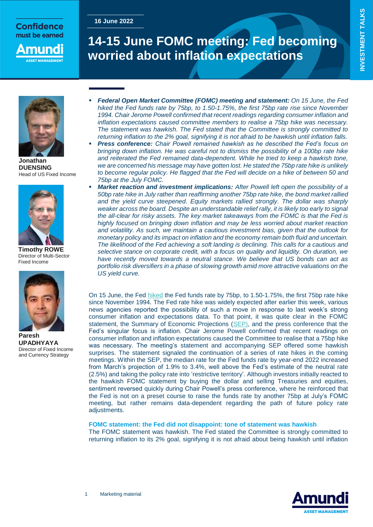## **Confidence** must be earned

**16 June 2022**

nund

# **14-15 June FOMC meeting: Fed becoming worried about inflation expectations**



**Jonathan DUENSING** Head of US Fixed Income



**Timothy ROWE** Director of Multi-Sector Fixed Income



**Paresh UPADHYAYA** Director of Fixed Income and Currency Strategy

- *Federal Open Market Committee (FOMC) meeting and statement: On 15 June, the Fed hiked the Fed funds rate by 75bp, to 1.50-1.75%, the first 75bp rate rise since November 1994. Chair Jerome Powell confirmed that recent readings regarding consumer inflation and inflation expectations caused committee members to realise a 75bp hike was necessary. The statement was hawkish. The Fed stated that the Committee is strongly committed to returning inflation to the 2% goal, signifying it is not afraid to be hawkish until inflation falls.*
- *Press conference: Chair Powell remained hawkish as he described the Fed's focus on bringing down inflation. He was careful not to dismiss the possibility of a 100bp rate hike*  and reiterated the Fed remained data-dependent. While he tried to keep a hawkish tone, *we are concerned his message may have gotten lost. He stated the 75bp rate hike is unlikely to become regular policy. He flagged that the Fed will decide on a hike of between 50 and 75bp at the July FOMC.*
- *Market reaction and investment implications: After Powell left open the possibility of a 50bp rate hike in July rather than reaffirming another 75bp rate hike, the bond market rallied and the yield curve steepened. Equity markets rallied strongly. The dollar was sharply*  weaker across the board. Despite an understandable relief rally, it is likely too early to signal *the all-clear for risky assets. The key market takeaways from the FOMC is that the Fed is highly focused on bringing down inflation and may be less worried about market reaction and volatility. As such, we maintain a cautious investment bias, given that the outlook for monetary policy and its impact on inflation and the economy remain both fluid and uncertain. The likelihood of the Fed achieving a soft landing is declining. This calls for a cautious and selective stance on corporate credit, with a focus on quality and liquidity. On duration, we have recently moved towards a neutral stance. We believe that US bonds can act as portfolio risk diversifiers in a phase of slowing growth amid more attractive valuations on the US yield curve.*

On 15 June, the Fed [hiked](https://www.federalreserve.gov/newsevents/pressreleases/monetary20220615a.htm) the Fed funds rate by 75bp, to 1.50-1.75%, the first 75bp rate hike since November 1994. The Fed rate hike was widely expected after earlier this week, various news agencies reported the possibility of such a move in response to last week's strong consumer inflation and expectations data. To that point, it was quite clear in the FOMC statement, the Summary of Economic Projections [\(SEP\)](https://www.federalreserve.gov/monetarypolicy/files/fomcprojtabl20220615.pdf), and the press conference that the Fed's singular focus is inflation. Chair Jerome Powell confirmed that recent readings on consumer inflation and inflation expectations caused the Committee to realise that a 75bp hike was necessary. The meeting's statement and accompanying SEP offered some hawkish surprises. The statement signaled the continuation of a series of rate hikes in the coming meetings. Within the SEP, the median rate for the Fed funds rate by year-end 2022 increased from March's projection of 1.9% to 3.4%, well above the Fed's estimate of the neutral rate (2.5%) and taking the policy rate into 'restrictive territory'. Although investors initially reacted to the hawkish FOMC statement by buying the dollar and selling Treasuries and equities, sentiment reversed quickly during Chair Powell's press conference, where he reinforced that the Fed is not on a preset course to raise the funds rate by another 75bp at July's FOMC meeting, but rather remains data-dependent regarding the path of future policy rate adjustments.

### **FOMC statement: the Fed did not disappoint: tone of statement was hawkish**

The FOMC statement was hawkish. The Fed stated the Committee is strongly committed to returning inflation to its 2% goal, signifying it is not afraid about being hawkish until inflation

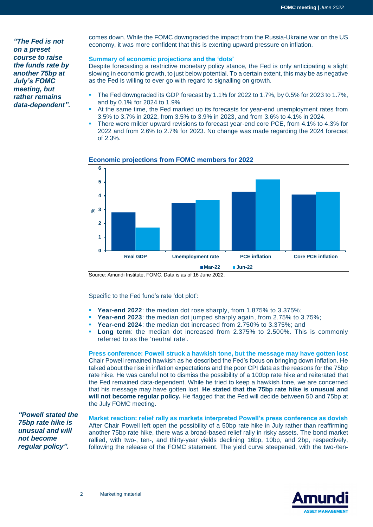*"The Fed is not on a preset course to raise the funds rate by another 75bp at July's FOMC meeting, but rather remains data-dependent".*

comes down. While the FOMC downgraded the impact from the Russia-Ukraine war on the US economy, it was more confident that this is exerting upward pressure on inflation.

### **Summary of economic projections and the 'dots'**

Despite forecasting a restrictive monetary policy stance, the Fed is only anticipating a slight slowing in economic growth, to just below potential. To a certain extent, this may be as negative as the Fed is willing to ever go with regard to signalling on growth.

- The Fed downgraded its GDP forecast by 1.1% for 2022 to 1.7%, by 0.5% for 2023 to 1.7%, and by 0.1% for 2024 to 1.9%.
- At the same time, the Fed marked up its forecasts for year-end unemployment rates from 3.5% to 3.7% in 2022, from 3.5% to 3.9% in 2023, and from 3.6% to 4.1% in 2024.
- There were milder upward revisions to forecast year-end core PCE, from 4.1% to 4.3% for 2022 and from 2.6% to 2.7% for 2023. No change was made regarding the 2024 forecast of 2.3%.



### **Economic projections from FOMC members for 2022**

Source: Amundi Institute, FOMC. Data is as of 16 June 2022.

Specific to the Fed fund's rate 'dot plot':

- **Year-end 2022**: the median dot rose sharply, from 1.875% to 3.375%;
- **Year-end 2023:** the median dot jumped sharply again, from 2.75% to 3.75%;
- **Year-end 2024**: the median dot increased from 2.750% to 3.375%; and
- **Long term**: the median dot increased from 2.375% to 2.500%. This is commonly referred to as the 'neutral rate'.

**Press conference: Powell struck a hawkish tone, but the message may have gotten lost** Chair Powell remained hawkish as he described the Fed's focus on bringing down inflation. He talked about the rise in inflation expectations and the poor CPI data as the reasons for the 75bp rate hike. He was careful not to dismiss the possibility of a 100bp rate hike and reiterated that the Fed remained data-dependent. While he tried to keep a hawkish tone, we are concerned that his message may have gotten lost. **He stated that the 75bp rate hike is unusual and will not become regular policy.** He flagged that the Fed will decide between 50 and 75bp at the July FOMC meeting.

*"Powell stated the 75bp rate hike is unusual and will not become regular policy".*

**Market reaction: relief rally as markets interpreted Powell's press conference as dovish** After Chair Powell left open the possibility of a 50bp rate hike in July rather than reaffirming another 75bp rate hike, there was a broad-based relief rally in risky assets. The bond market rallied, with two-, ten-, and thirty-year yields declining 16bp, 10bp, and 2bp, respectively, following the release of the FOMC statement. The yield curve steepened, with the two-/ten-

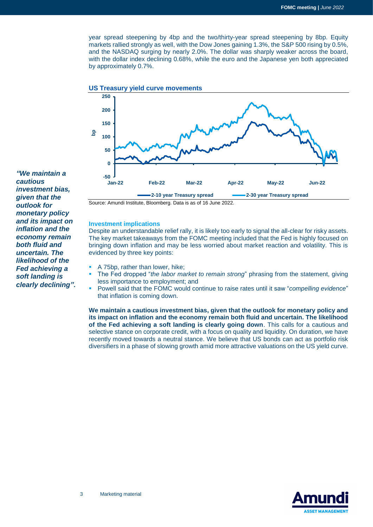year spread steepening by 4bp and the two/thirty-year spread steepening by 8bp. Equity markets rallied strongly as well, with the Dow Jones gaining 1.3%, the S&P 500 rising by 0.5%, and the NASDAQ surging by nearly 2.0%. The dollar was sharply weaker across the board, with the dollar index declining 0.68%, while the euro and the Japanese yen both appreciated by approximately 0.7%.





Source: Amundi Institute, Bloomberg. Data is as of 16 June 2022.

### **Investment implications**

Despite an understandable relief rally, it is likely too early to signal the all-clear for risky assets. The key market takeaways from the FOMC meeting included that the Fed is highly focused on bringing down inflation and may be less worried about market reaction and volatility. This is evidenced by three key points:

- A 75bp, rather than lower, hike;
- The Fed dropped "*the labor market to remain strong*" phrasing from the statement, giving less importance to employment; and
- Powell said that the FOMC would continue to raise rates until it saw "*compelling evidence*" that inflation is coming down.

**We maintain a cautious investment bias, given that the outlook for monetary policy and its impact on inflation and the economy remain both fluid and uncertain. The likelihood of the Fed achieving a soft landing is clearly going down**. This calls for a cautious and selective stance on corporate credit, with a focus on quality and liquidity. On duration, we have recently moved towards a neutral stance. We believe that US bonds can act as portfolio risk diversifiers in a phase of slowing growth amid more attractive valuations on the US yield curve.



*"We maintain a cautious investment bias, given that the outlook for monetary policy and its impact on inflation and the economy remain both fluid and uncertain. The likelihood of the Fed achieving a soft landing is clearly declining".*